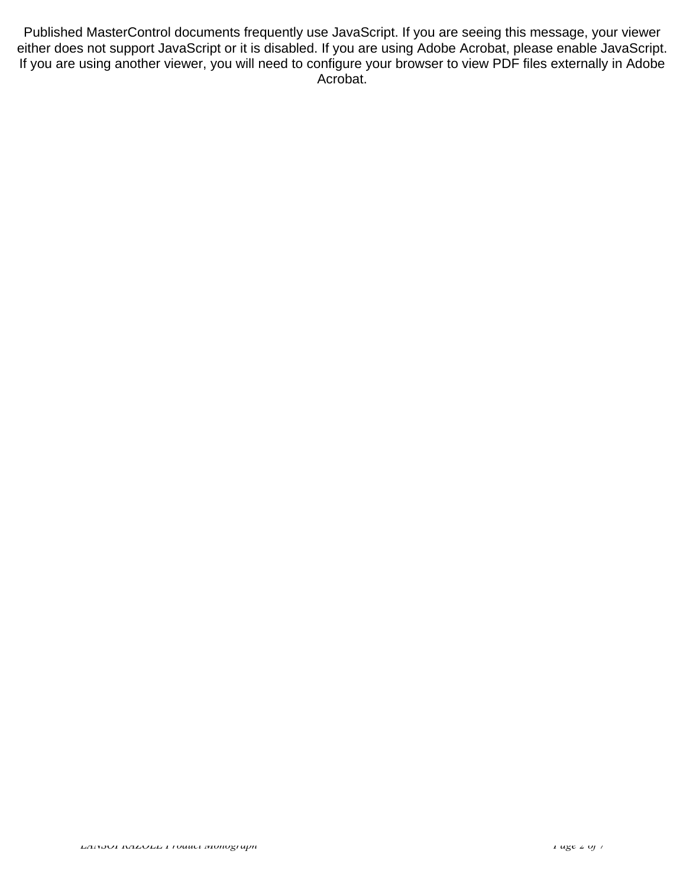**Treatment of the bacterial infection caused by** *Helicobacter pylori* **(***H. pylori***) in**  Published MasterControl documents frequently use JavaScript. If you are seeing this message, your viewer either does not support JavaScript or it is disabled. If you are using Adobe Acrobat, please enable JavaScript. If you are using another viewer, you will need to configure your browser to view PDF files externally in Adobe Acrobat.